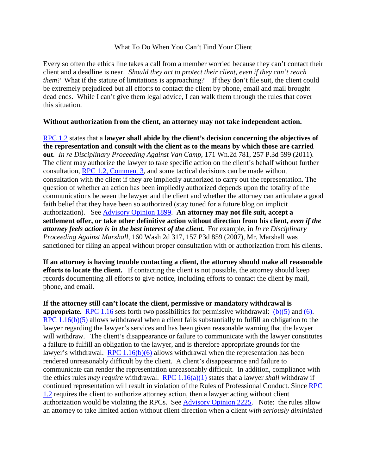## What To Do When You Can't Find Your Client

Every so often the ethics line takes a call from a member worried because they can't contact their client and a deadline is near. *Should they act to protect their client, even if they can't reach them?* What if the statute of limitations is approaching? If they don't file suit, the client could be extremely prejudiced but all efforts to contact the client by phone, email and mail brought dead ends. While I can't give them legal advice, I can walk them through the rules that cover this situation.

## **Without authorization from the client, an attorney may not take independent action.**

[RPC 1.2](https://www.courts.wa.gov/court_rules/?fa=court_rules.display&group=ga&set=RPC&ruleid=garpc1.02) states that a **lawyer shall abide by the client's decision concerning the objectives of the representation and consult with the client as to the means by which those are carried out***. In re Disciplinary Proceeding Against Van Camp*, 171 Wn.2d 781, 257 P.3d 599 (2011). The client may authorize the lawyer to take specific action on the client's behalf without further consultation, [RPC 1.2, Comment 3,](https://www.courts.wa.gov/court_rules/?fa=court_rules.display&group=ga&set=RPC&ruleid=garpc1.02) and some tactical decisions can be made without consultation with the client if they are impliedly authorized to carry out the representation. The question of whether an action has been impliedly authorized depends upon the totality of the communications between the lawyer and the client and whether the attorney can articulate a good faith belief that they have been so authorized (stay tuned for a future blog on implicit authorization). See [Advisory Opinion 1899.](https://ao.wsba.org/print.aspx?ID=1093) **An attorney may not file suit, accept a settlement offer, or take other definitive action without direction from his client,** *even if the attorney feels action is in the best interest of the client.* For example, in *In re Disciplinary Proceeding Against Marshall*, 160 Wash 2d 317, 157 P3d 859 (2007), Mr. Marshall was sanctioned for filing an appeal without proper consultation with or authorization from his clients.

**If an attorney is having trouble contacting a client, the attorney should make all reasonable efforts to locate the client.** If contacting the client is not possible, the attorney should keep records documenting all efforts to give notice, including efforts to contact the client by mail, phone, and email.

**If the attorney still can't locate the client, permissive or mandatory withdrawal is appropriate.** [RPC 1.16](https://www.courts.wa.gov/court_rules/?fa=court_rules.display&group=ga&set=RPC&ruleid=garpc1.16) sets forth two possibilities for permissive withdrawal: [\(b\)\(5\)](https://www.courts.wa.gov/court_rules/?fa=court_rules.display&group=ga&set=RPC&ruleid=garpc1.16) and [\(6\).](https://www.courts.wa.gov/court_rules/?fa=court_rules.display&group=ga&set=RPC&ruleid=garpc1.16) [RPC 1.16\(b\)\(5\)](https://www.courts.wa.gov/court_rules/?fa=court_rules.display&group=ga&set=RPC&ruleid=garpc1.16) allows withdrawal when a client fails substantially to fulfill an obligation to the lawyer regarding the lawyer's services and has been given reasonable warning that the lawyer will withdraw. The client's disappearance or failure to communicate with the lawyer constitutes a failure to fulfill an obligation to the lawyer, and is therefore appropriate grounds for the lawyer's withdrawal. RPC  $1.16(b)(6)$  allows withdrawal when the representation has been rendered unreasonably difficult by the client. A client's disappearance and failure to communicate can render the representation unreasonably difficult. In addition, compliance with the ethics rules *may require* withdrawal. [RPC 1.16\(a\)\(1\)](https://www.courts.wa.gov/court_rules/?fa=court_rules.display&group=ga&set=RPC&ruleid=garpc1.16) states that a lawyer *shall* withdraw if continued representation will result in violation of the Rules of Professional Conduct. Since [RPC](https://www.courts.wa.gov/court_rules/?fa=court_rules.display&group=ga&set=RPC&ruleid=garpc1.02)  [1.2](https://www.courts.wa.gov/court_rules/?fa=court_rules.display&group=ga&set=RPC&ruleid=garpc1.02) requires the client to authorize attorney action, then a lawyer acting without client authorization would be violating the RPCs. See [Advisory Opinion 2225.](https://ao.wsba.org/print.aspx?ID=1670) Note: the rules allow an attorney to take limited action without client direction when a client *with seriously diminished*